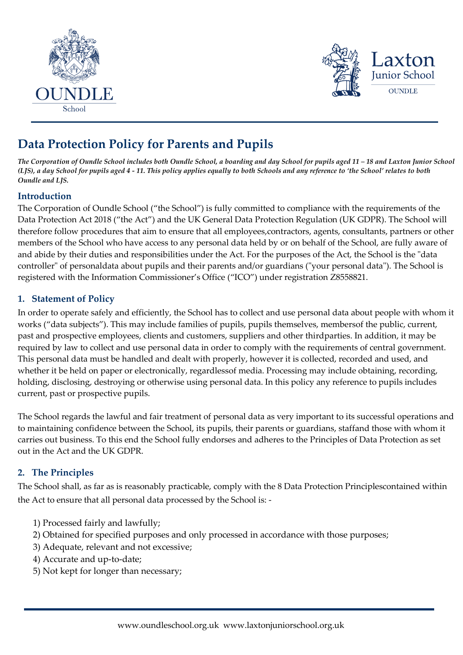



# **Data Protection Policy for Parents and Pupils**

*The Corporation of Oundle School includes both Oundle School, a boarding and day School for pupils aged 11 – 18 and Laxton Junior School (LJS), a day School for pupils aged 4 - 11. This policy applies equally to both Schools and any reference to 'the School' relates to both Oundle and LJS.* 

# **Introduction**

The Corporation of Oundle School ("the School") is fully committed to compliance with the requirements of the Data Protection Act 2018 ("the Act") and the UK General Data Protection Regulation (UK GDPR). The School will therefore follow procedures that aim to ensure that all employees,contractors, agents, consultants, partners or other members of the School who have access to any personal data held by or on behalf of the School, are fully aware of and abide by their duties and responsibilities under the Act. For the purposes of the Act, the School is the "data controller" of personaldata about pupils and their parents and/or guardians ("your personal data"). The School is registered with the Information Commissioner's Office ("ICO") under registration Z8558821.

# **1. Statement of Policy**

In order to operate safely and efficiently, the School has to collect and use personal data about people with whom it works ("data subjects"). This may include families of pupils, pupils themselves, membersof the public, current, past and prospective employees, clients and customers, suppliers and other thirdparties. In addition, it may be required by law to collect and use personal data in order to comply with the requirements of central government. This personal data must be handled and dealt with properly, however it is collected, recorded and used, and whether it be held on paper or electronically, regardlessof media. Processing may include obtaining, recording, holding, disclosing, destroying or otherwise using personal data. In this policy any reference to pupils includes current, past or prospective pupils.

The School regards the lawful and fair treatment of personal data as very important to its successful operations and to maintaining confidence between the School, its pupils, their parents or guardians, staffand those with whom it carries out business. To this end the School fully endorses and adheres to the Principles of Data Protection as set out in the Act and the UK GDPR.

# **2. The Principles**

The School shall, as far as is reasonably practicable, comply with the 8 Data Protection Principlescontained within the Act to ensure that all personal data processed by the School is: -

- 1) Processed fairly and lawfully;
- 2) Obtained for specified purposes and only processed in accordance with those purposes;
- 3) Adequate, relevant and not excessive;
- 4) Accurate and up-to-date;
- 5) Not kept for longer than necessary;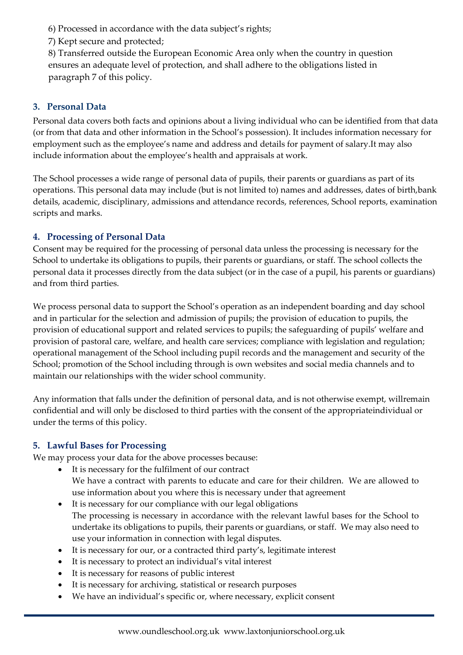6) Processed in accordance with the data subject's rights;

7) Kept secure and protected;

8) Transferred outside the European Economic Area only when the country in question ensures an adequate level of protection, and shall adhere to the obligations listed in paragraph 7 of this policy.

#### **3. Personal Data**

Personal data covers both facts and opinions about a living individual who can be identified from that data (or from that data and other information in the School's possession). It includes information necessary for employment such as the employee's name and address and details for payment of salary.It may also include information about the employee's health and appraisals at work.

The School processes a wide range of personal data of pupils, their parents or guardians as part of its operations. This personal data may include (but is not limited to) names and addresses, dates of birth,bank details, academic, disciplinary, admissions and attendance records, references, School reports, examination scripts and marks.

#### **4. Processing of Personal Data**

Consent may be required for the processing of personal data unless the processing is necessary for the School to undertake its obligations to pupils, their parents or guardians, or staff. The school collects the personal data it processes directly from the data subject (or in the case of a pupil, his parents or guardians) and from third parties.

We process personal data to support the School's operation as an independent boarding and day school and in particular for the selection and admission of pupils; the provision of education to pupils, the provision of educational support and related services to pupils; the safeguarding of pupils' welfare and provision of pastoral care, welfare, and health care services; compliance with legislation and regulation; operational management of the School including pupil records and the management and security of the School; promotion of the School including through is own websites and social media channels and to maintain our relationships with the wider school community.

Any information that falls under the definition of personal data, and is not otherwise exempt, willremain confidential and will only be disclosed to third parties with the consent of the appropriateindividual or under the terms of this policy.

# **5. Lawful Bases for Processing**

We may process your data for the above processes because:

- It is necessary for the fulfilment of our contract We have a contract with parents to educate and care for their children. We are allowed to use information about you where this is necessary under that agreement
- It is necessary for our compliance with our legal obligations The processing is necessary in accordance with the relevant lawful bases for the School to undertake its obligations to pupils, their parents or guardians, or staff. We may also need to use your information in connection with legal disputes.
- It is necessary for our, or a contracted third party's, legitimate interest
- It is necessary to protect an individual's vital interest
- It is necessary for reasons of public interest
- It is necessary for archiving, statistical or research purposes
- We have an individual's specific or, where necessary, explicit consent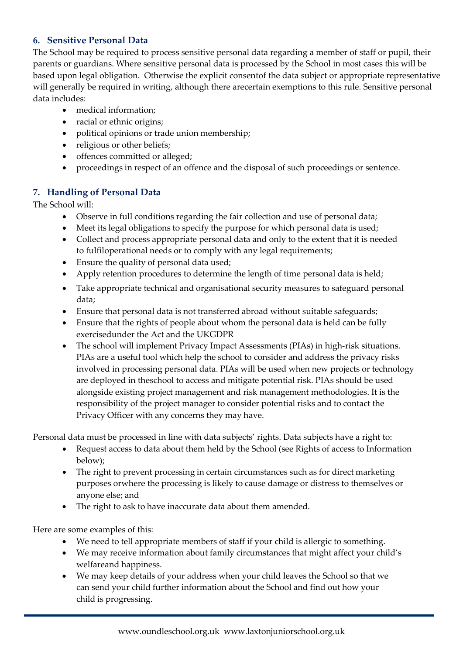# **6. Sensitive Personal Data**

The School may be required to process sensitive personal data regarding a member of staff or pupil, their parents or guardians. Where sensitive personal data is processed by the School in most cases this will be based upon legal obligation. Otherwise the explicit consentof the data subject or appropriate representative will generally be required in writing, although there arecertain exemptions to this rule. Sensitive personal data includes:

- medical information;
- racial or ethnic origins;
- political opinions or trade union membership;
- religious or other beliefs:
- offences committed or alleged;
- proceedings in respect of an offence and the disposal of such proceedings or sentence.

# **7. Handling of Personal Data**

The School will:

- Observe in full conditions regarding the fair collection and use of personal data;
- Meet its legal obligations to specify the purpose for which personal data is used;
- Collect and process appropriate personal data and only to the extent that it is needed to fulfiloperational needs or to comply with any legal requirements;
- Ensure the quality of personal data used;
- Apply retention procedures to determine the length of time personal data is held;
- Take appropriate technical and organisational security measures to safeguard personal data;
- Ensure that personal data is not transferred abroad without suitable safeguards;
- Ensure that the rights of people about whom the personal data is held can be fully exercisedunder the Act and the UKGDPR
- The school will implement Privacy Impact Assessments (PIAs) in high-risk situations. PIAs are a useful tool which help the school to consider and address the privacy risks involved in processing personal data. PIAs will be used when new projects or technology are deployed in theschool to access and mitigate potential risk. PIAs should be used alongside existing project management and risk management methodologies. It is the responsibility of the project manager to consider potential risks and to contact the Privacy Officer with any concerns they may have.

Personal data must be processed in line with data subjects' rights. Data subjects have a right to:

- Request access to data about them held by the School (see Rights of access to Information below);
- The right to prevent processing in certain circumstances such as for direct marketing purposes orwhere the processing is likely to cause damage or distress to themselves or anyone else; and
- The right to ask to have inaccurate data about them amended.

Here are some examples of this:

- We need to tell appropriate members of staff if your child is allergic to something.
- We may receive information about family circumstances that might affect your child's welfareand happiness.
- We may keep details of your address when your child leaves the School so that we can send your child further information about the School and find out how your child is progressing.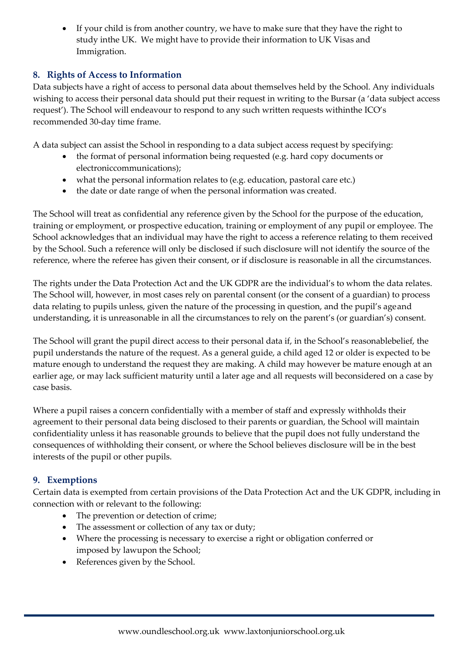• If your child is from another country, we have to make sure that they have the right to study inthe UK. We might have to provide their information to UK Visas and Immigration.

# **8. Rights of Access to Information**

Data subjects have a right of access to personal data about themselves held by the School. Any individuals wishing to access their personal data should put their request in writing to the Bursar (a 'data subject access request'). The School will endeavour to respond to any such written requests withinthe ICO's recommended 30-day time frame.

A data subject can assist the School in responding to a data subject access request by specifying:

- the format of personal information being requested (e.g. hard copy documents or electroniccommunications);
- what the personal information relates to (e.g. education, pastoral care etc.)
- the date or date range of when the personal information was created.

The School will treat as confidential any reference given by the School for the purpose of the education, training or employment, or prospective education, training or employment of any pupil or employee. The School acknowledges that an individual may have the right to access a reference relating to them received by the School. Such a reference will only be disclosed if such disclosure will not identify the source of the reference, where the referee has given their consent, or if disclosure is reasonable in all the circumstances.

The rights under the Data Protection Act and the UK GDPR are the individual's to whom the data relates. The School will, however, in most cases rely on parental consent (or the consent of a guardian) to process data relating to pupils unless, given the nature of the processing in question, and the pupil's age and understanding, it is unreasonable in all the circumstances to rely on the parent's (or guardian's) consent.

The School will grant the pupil direct access to their personal data if, in the School's reasonablebelief, the pupil understands the nature of the request. As a general guide, a child aged 12 or older is expected to be mature enough to understand the request they are making. A child may however be mature enough at an earlier age, or may lack sufficient maturity until a later age and all requests will beconsidered on a case by case basis.

Where a pupil raises a concern confidentially with a member of staff and expressly withholds their agreement to their personal data being disclosed to their parents or guardian, the School will maintain confidentiality unless it has reasonable grounds to believe that the pupil does not fully understand the consequences of withholding their consent, or where the School believes disclosure will be in the best interests of the pupil or other pupils.

# **9. Exemptions**

Certain data is exempted from certain provisions of the Data Protection Act and the UK GDPR, including in connection with or relevant to the following:

- The prevention or detection of crime;
- The assessment or collection of any tax or duty;
- Where the processing is necessary to exercise a right or obligation conferred or imposed by lawupon the School;
- References given by the School.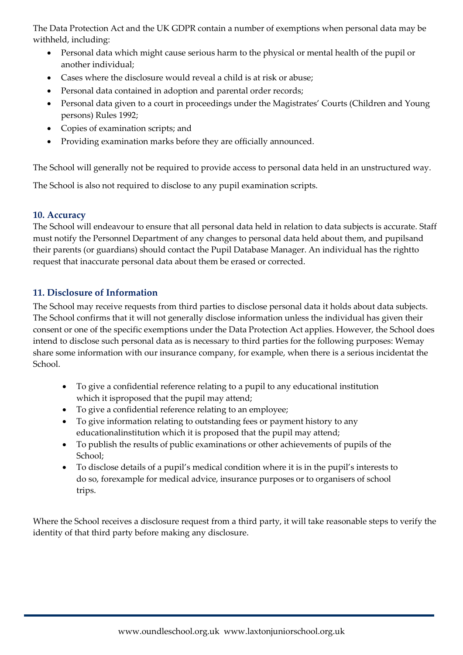The Data Protection Act and the UK GDPR contain a number of exemptions when personal data may be withheld, including:

- Personal data which might cause serious harm to the physical or mental health of the pupil or another individual;
- Cases where the disclosure would reveal a child is at risk or abuse;
- Personal data contained in adoption and parental order records;
- Personal data given to a court in proceedings under the Magistrates' Courts (Children and Young persons) Rules 1992;
- Copies of examination scripts; and
- Providing examination marks before they are officially announced.

The School will generally not be required to provide access to personal data held in an unstructured way.

The School is also not required to disclose to any pupil examination scripts.

# **10. Accuracy**

The School will endeavour to ensure that all personal data held in relation to data subjects is accurate. Staff must notify the Personnel Department of any changes to personal data held about them, and pupilsand their parents (or guardians) should contact the Pupil Database Manager. An individual has the rightto request that inaccurate personal data about them be erased or corrected.

# **11. Disclosure of Information**

The School may receive requests from third parties to disclose personal data it holds about data subjects. The School confirms that it will not generally disclose information unless the individual has given their consent or one of the specific exemptions under the Data Protection Act applies. However, the School does intend to disclose such personal data as is necessary to third parties for the following purposes: Wemay share some information with our insurance company, for example, when there is a serious incidentat the School.

- To give a confidential reference relating to a pupil to any educational institution which it isproposed that the pupil may attend;
- To give a confidential reference relating to an employee;
- To give information relating to outstanding fees or payment history to any educationalinstitution which it is proposed that the pupil may attend;
- To publish the results of public examinations or other achievements of pupils of the School;
- To disclose details of a pupil's medical condition where it is in the pupil's interests to do so, forexample for medical advice, insurance purposes or to organisers of school trips.

Where the School receives a disclosure request from a third party, it will take reasonable steps to verify the identity of that third party before making any disclosure.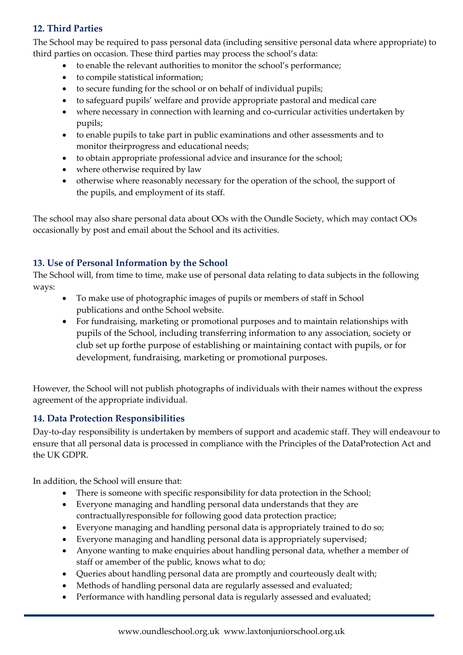# **12. Third Parties**

The School may be required to pass personal data (including sensitive personal data where appropriate) to third parties on occasion. These third parties may process the school's data:

- to enable the relevant authorities to monitor the school's performance;
- to compile statistical information;
- to secure funding for the school or on behalf of individual pupils;
- to safeguard pupils' welfare and provide appropriate pastoral and medical care
- where necessary in connection with learning and co-curricular activities undertaken by pupils;
- to enable pupils to take part in public examinations and other assessments and to monitor theirprogress and educational needs;
- to obtain appropriate professional advice and insurance for the school;
- where otherwise required by law
- otherwise where reasonably necessary for the operation of the school, the support of the pupils, and employment of its staff.

The school may also share personal data about OOs with the Oundle Society, which may contact OOs occasionally by post and email about the School and its activities.

# **13. Use of Personal Information by the School**

The School will, from time to time, make use of personal data relating to data subjects in the following ways:

- To make use of photographic images of pupils or members of staff in School publications and onthe School website.
- For fundraising, marketing or promotional purposes and to maintain relationships with pupils of the School, including transferring information to any association, society or club set up forthe purpose of establishing or maintaining contact with pupils, or for development, fundraising, marketing or promotional purposes.

However, the School will not publish photographs of individuals with their names without the express agreement of the appropriate individual.

# **14. Data Protection Responsibilities**

Day-to-day responsibility is undertaken by members of support and academic staff. They will endeavour to ensure that all personal data is processed in compliance with the Principles of the DataProtection Act and the UK GDPR.

In addition, the School will ensure that:

- There is someone with specific responsibility for data protection in the School;
- Everyone managing and handling personal data understands that they are contractuallyresponsible for following good data protection practice;
- Everyone managing and handling personal data is appropriately trained to do so;
- Everyone managing and handling personal data is appropriately supervised;
- Anyone wanting to make enquiries about handling personal data, whether a member of staff or amember of the public, knows what to do;
- Queries about handling personal data are promptly and courteously dealt with;
- Methods of handling personal data are regularly assessed and evaluated;
- Performance with handling personal data is regularly assessed and evaluated;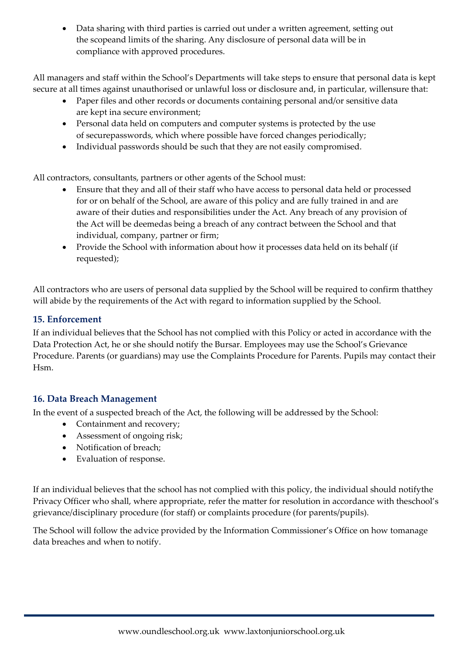• Data sharing with third parties is carried out under a written agreement, setting out the scopeand limits of the sharing. Any disclosure of personal data will be in compliance with approved procedures.

All managers and staff within the School's Departments will take steps to ensure that personal data is kept secure at all times against unauthorised or unlawful loss or disclosure and, in particular, willensure that:

- Paper files and other records or documents containing personal and/or sensitive data are kept ina secure environment;
- Personal data held on computers and computer systems is protected by the use of securepasswords, which where possible have forced changes periodically;
- Individual passwords should be such that they are not easily compromised.

All contractors, consultants, partners or other agents of the School must:

- Ensure that they and all of their staff who have access to personal data held or processed for or on behalf of the School, are aware of this policy and are fully trained in and are aware of their duties and responsibilities under the Act. Any breach of any provision of the Act will be deemedas being a breach of any contract between the School and that individual, company, partner or firm;
- Provide the School with information about how it processes data held on its behalf (if requested);

All contractors who are users of personal data supplied by the School will be required to confirm thatthey will abide by the requirements of the Act with regard to information supplied by the School.

# **15. Enforcement**

If an individual believes that the School has not complied with this Policy or acted in accordance with the Data Protection Act, he or she should notify the Bursar. Employees may use the School's Grievance Procedure. Parents (or guardians) may use the Complaints Procedure for Parents. Pupils may contact their Hsm.

# **16. Data Breach Management**

In the event of a suspected breach of the Act, the following will be addressed by the School:

- Containment and recovery;
- Assessment of ongoing risk;
- Notification of breach;
- Evaluation of response.

If an individual believes that the school has not complied with this policy, the individual should notifythe Privacy Officer who shall, where appropriate, refer the matter for resolution in accordance with theschool's grievance/disciplinary procedure (for staff) or complaints procedure (for parents/pupils).

The School will follow the advice provided by the Information Commissioner's Office on how tomanage data breaches and when to notify.